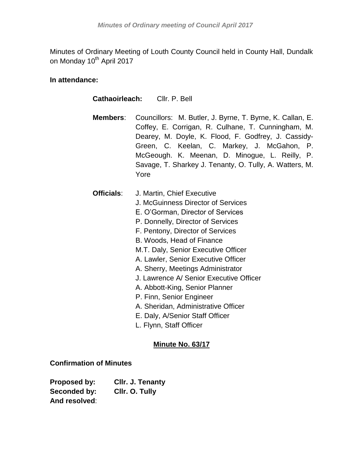Minutes of Ordinary Meeting of Louth County Council held in County Hall, Dundalk on Monday 10<sup>th</sup> April 2017

# **In attendance:**

| <b>Cathaoirleach:</b> Cllr. P. Bell |                                                                                                                                                                                                                                                                                                                                                                                                                                                                                                                                              |  |  |
|-------------------------------------|----------------------------------------------------------------------------------------------------------------------------------------------------------------------------------------------------------------------------------------------------------------------------------------------------------------------------------------------------------------------------------------------------------------------------------------------------------------------------------------------------------------------------------------------|--|--|
| Members:                            | Councillors: M. Butler, J. Byrne, T. Byrne, K. Callan, E.<br>Coffey, E. Corrigan, R. Culhane, T. Cunningham, M.<br>Dearey, M. Doyle, K. Flood, F. Godfrey, J. Cassidy-<br>Green, C. Keelan, C. Markey, J. McGahon, P.<br>McGeough. K. Meenan, D. Minogue, L. Reilly, P.<br>Savage, T. Sharkey J. Tenanty, O. Tully, A. Watters, M.<br>Yore                                                                                                                                                                                                   |  |  |
| Officials:                          | J. Martin, Chief Executive<br>J. McGuinness Director of Services<br>E. O'Gorman, Director of Services<br>P. Donnelly, Director of Services<br>F. Pentony, Director of Services<br>B. Woods, Head of Finance<br>M.T. Daly, Senior Executive Officer<br>A. Lawler, Senior Executive Officer<br>A. Sherry, Meetings Administrator<br>J. Lawrence A/ Senior Executive Officer<br>A. Abbott-King, Senior Planner<br>P. Finn, Senior Engineer<br>A. Sheridan, Administrative Officer<br>E. Daly, A/Senior Staff Officer<br>L. Flynn, Staff Officer |  |  |

# **Minute No. 63/17**

## **Confirmation of Minutes**

| Proposed by:  | Cllr. J. Tenanty |
|---------------|------------------|
| Seconded by:  | Cllr. O. Tully   |
| And resolved: |                  |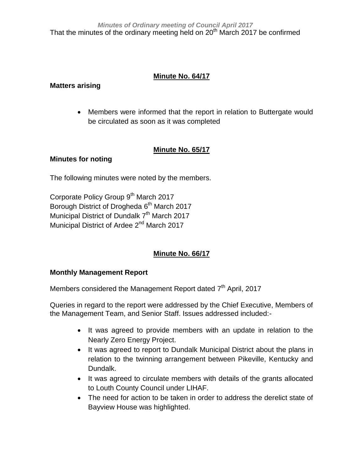# **Minute No. 64/17**

## **Matters arising**

 Members were informed that the report in relation to Buttergate would be circulated as soon as it was completed

# **Minute No. 65/17**

## **Minutes for noting**

The following minutes were noted by the members.

Corporate Policy Group 9<sup>th</sup> March 2017 Borough District of Drogheda 6<sup>th</sup> March 2017 Municipal District of Dundalk 7<sup>th</sup> March 2017 Municipal District of Ardee 2<sup>nd</sup> March 2017

# **Minute No. 66/17**

## **Monthly Management Report**

Members considered the Management Report dated 7<sup>th</sup> April, 2017

Queries in regard to the report were addressed by the Chief Executive, Members of the Management Team, and Senior Staff. Issues addressed included:-

- It was agreed to provide members with an update in relation to the Nearly Zero Energy Project.
- It was agreed to report to Dundalk Municipal District about the plans in relation to the twinning arrangement between Pikeville, Kentucky and Dundalk.
- It was agreed to circulate members with details of the grants allocated to Louth County Council under LIHAF.
- The need for action to be taken in order to address the derelict state of Bayview House was highlighted.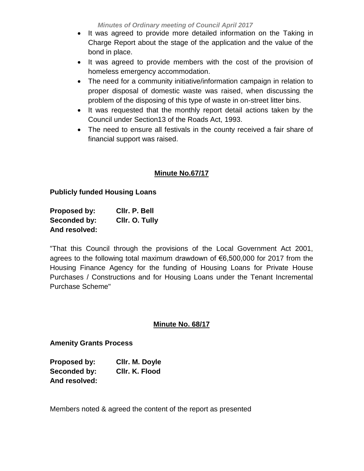*Minutes of Ordinary meeting of Council April 2017*

- It was agreed to provide more detailed information on the Taking in Charge Report about the stage of the application and the value of the bond in place.
- It was agreed to provide members with the cost of the provision of homeless emergency accommodation.
- The need for a community initiative/information campaign in relation to proper disposal of domestic waste was raised, when discussing the problem of the disposing of this type of waste in on-street litter bins.
- It was requested that the monthly report detail actions taken by the Council under Section13 of the Roads Act, 1993.
- The need to ensure all festivals in the county received a fair share of financial support was raised.

# **Minute No.67/17**

## **Publicly funded Housing Loans**

| Proposed by:  | CIIr. P. Bell  |
|---------------|----------------|
| Seconded by:  | Cllr. O. Tully |
| And resolved: |                |

"That this Council through the provisions of the Local Government Act 2001, agrees to the following total maximum drawdown of €6,500,000 for 2017 from the Housing Finance Agency for the funding of Housing Loans for Private House Purchases / Constructions and for Housing Loans under the Tenant Incremental Purchase Scheme"

## **Minute No. 68/17**

## **Amenity Grants Process**

| <b>Proposed by:</b> | Cllr. M. Doyle |
|---------------------|----------------|
| Seconded by:        | CIIr. K. Flood |
| And resolved:       |                |

Members noted & agreed the content of the report as presented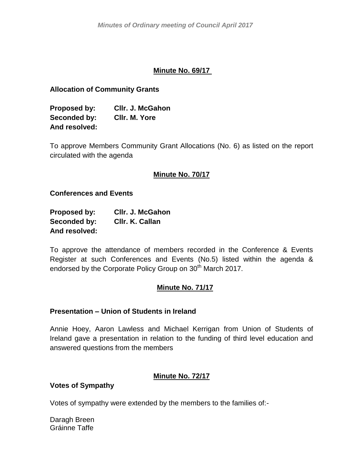## **Minute No. 69/17**

## **Allocation of Community Grants**

**Proposed by: Cllr. J. McGahon Seconded by: Cllr. M. Yore And resolved:**

To approve Members Community Grant Allocations (No. 6) as listed on the report circulated with the agenda

## **Minute No. 70/17**

## **Conferences and Events**

| Proposed by:  | <b>CIIr. J. McGahon</b> |
|---------------|-------------------------|
| Seconded by:  | CIIr. K. Callan         |
| And resolved: |                         |

To approve the attendance of members recorded in the Conference & Events Register at such Conferences and Events (No.5) listed within the agenda & endorsed by the Corporate Policy Group on 30<sup>th</sup> March 2017.

## **Minute No. 71/17**

## **Presentation – Union of Students in Ireland**

Annie Hoey, Aaron Lawless and Michael Kerrigan from Union of Students of Ireland gave a presentation in relation to the funding of third level education and answered questions from the members

## **Minute No. 72/17**

## **Votes of Sympathy**

Votes of sympathy were extended by the members to the families of:-

Daragh Breen Gráinne Taffe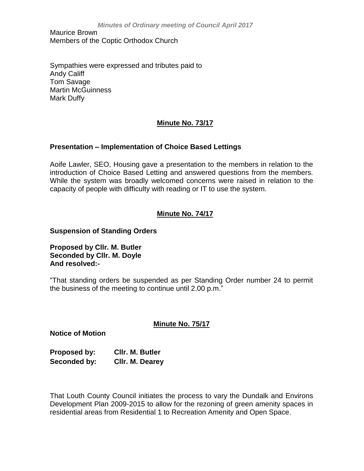Maurice Brown Members of the Coptic Orthodox Church

Sympathies were expressed and tributes paid to Andy Califf Tom Savage Martin McGuinness Mark Duffy

## **Minute No. 73/17**

## **Presentation – Implementation of Choice Based Lettings**

Aoife Lawler, SEO, Housing gave a presentation to the members in relation to the introduction of Choice Based Letting and answered questions from the members. While the system was broadly welcomed concerns were raised in relation to the capacity of people with difficulty with reading or IT to use the system.

## **Minute No. 74/17**

#### **Suspension of Standing Orders**

**Proposed by Cllr. M. Butler Seconded by Cllr. M. Doyle And resolved:-**

"That standing orders be suspended as per Standing Order number 24 to permit the business of the meeting to continue until 2.00 p.m."

## **Minute No. 75/17**

**Notice of Motion**

**Proposed by: Cllr. M. Butler Seconded by: Cllr. M. Dearey**

That Louth County Council initiates the process to vary the Dundalk and Environs Development Plan 2009-2015 to allow for the rezoning of green amenity spaces in residential areas from Residential 1 to Recreation Amenity and Open Space.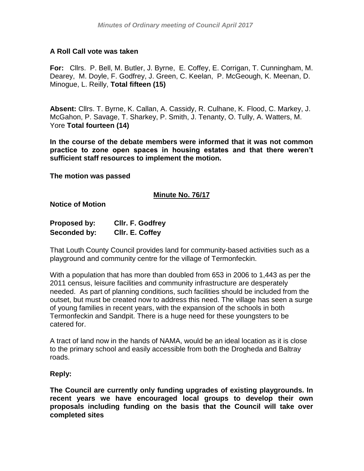## **A Roll Call vote was taken**

**For:** Cllrs. P. Bell, M. Butler, J. Byrne, E. Coffey, E. Corrigan, T. Cunningham, M. Dearey, M. Doyle, F. Godfrey, J. Green, C. Keelan, P. McGeough, K. Meenan, D. Minogue, L. Reilly, **Total fifteen (15)**

**Absent:** Cllrs. T. Byrne, K. Callan, A. Cassidy, R. Culhane, K. Flood, C. Markey, J. McGahon, P. Savage, T. Sharkey, P. Smith, J. Tenanty, O. Tully, A. Watters, M. Yore **Total fourteen (14)**

**In the course of the debate members were informed that it was not common practice to zone open spaces in housing estates and that there weren't sufficient staff resources to implement the motion.**

**The motion was passed**

## **Minute No. 76/17**

**Notice of Motion**

| <b>Proposed by:</b> | CIIr. F. Godfrey |
|---------------------|------------------|
| Seconded by:        | CIIr. E. Coffey  |

That Louth County Council provides land for community-based activities such as a playground and community centre for the village of Termonfeckin.

With a population that has more than doubled from 653 in 2006 to 1,443 as per the 2011 census, leisure facilities and community infrastructure are desperately needed. As part of planning conditions, such facilities should be included from the outset, but must be created now to address this need. The village has seen a surge of young families in recent years, with the expansion of the schools in both Termonfeckin and Sandpit. There is a huge need for these youngsters to be catered for.

A tract of land now in the hands of NAMA, would be an ideal location as it is close to the primary school and easily accessible from both the Drogheda and Baltray roads.

#### **Reply:**

**The Council are currently only funding upgrades of existing playgrounds. In recent years we have encouraged local groups to develop their own proposals including funding on the basis that the Council will take over completed sites**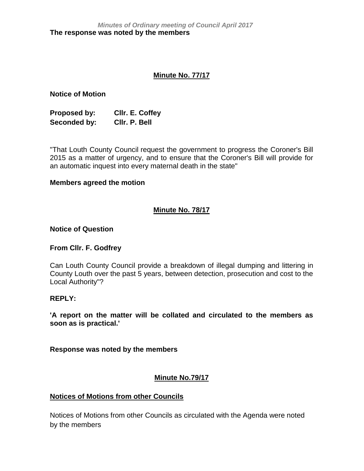## **Minute No. 77/17**

**Notice of Motion**

**Proposed by: Cllr. E. Coffey Seconded by: Cllr. P. Bell**

"That Louth County Council request the government to progress the Coroner's Bill 2015 as a matter of urgency, and to ensure that the Coroner's Bill will provide for an automatic inquest into every maternal death in the state"

#### **Members agreed the motion**

## **Minute No. 78/17**

#### **Notice of Question**

## **From Cllr. F. Godfrey**

Can Louth County Council provide a breakdown of illegal dumping and littering in County Louth over the past 5 years, between detection, prosecution and cost to the Local Authority"?

## **REPLY:**

**'A report on the matter will be collated and circulated to the members as soon as is practical.'**

**Response was noted by the members**

## **Minute No.79/17**

## **Notices of Motions from other Councils**

Notices of Motions from other Councils as circulated with the Agenda were noted by the members